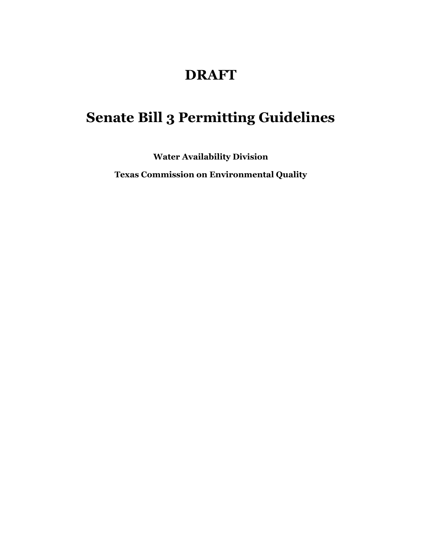# **DRAFT**

# **Senate Bill 3 Permitting Guidelines**

**Water Availability Division**

**Texas Commission on Environmental Quality**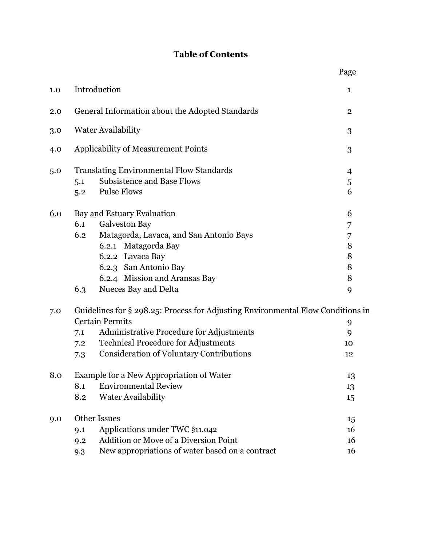# **Table of Contents**

|     |                                                                                 | Page         |  |  |  |  |
|-----|---------------------------------------------------------------------------------|--------------|--|--|--|--|
| 1.0 | Introduction                                                                    | $\mathbf{1}$ |  |  |  |  |
| 2.0 | General Information about the Adopted Standards                                 |              |  |  |  |  |
| 3.0 | <b>Water Availability</b>                                                       |              |  |  |  |  |
| 4.0 | Applicability of Measurement Points                                             |              |  |  |  |  |
| 5.0 | <b>Translating Environmental Flow Standards</b>                                 | 4            |  |  |  |  |
|     | <b>Subsistence and Base Flows</b><br>5.1                                        | 5            |  |  |  |  |
|     | <b>Pulse Flows</b><br>5.2                                                       | 6            |  |  |  |  |
| 6.0 | Bay and Estuary Evaluation                                                      | 6            |  |  |  |  |
|     | <b>Galveston Bay</b><br>6.1                                                     | 7            |  |  |  |  |
|     | Matagorda, Lavaca, and San Antonio Bays<br>6.2                                  | 7            |  |  |  |  |
|     | 6.2.1 Matagorda Bay                                                             | 8            |  |  |  |  |
|     | 6.2.2 Lavaca Bay                                                                | 8            |  |  |  |  |
|     | 6.2.3 San Antonio Bay                                                           | 8            |  |  |  |  |
|     | 6.2.4 Mission and Aransas Bay                                                   | 8            |  |  |  |  |
|     | Nueces Bay and Delta<br>6.3                                                     | 9            |  |  |  |  |
| 7.0 | Guidelines for § 298.25: Process for Adjusting Environmental Flow Conditions in |              |  |  |  |  |
|     | <b>Certain Permits</b>                                                          | 9            |  |  |  |  |
|     | Administrative Procedure for Adjustments<br>7.1                                 | 9            |  |  |  |  |
|     | <b>Technical Procedure for Adjustments</b><br>7.2                               | 10           |  |  |  |  |
|     | <b>Consideration of Voluntary Contributions</b><br>7.3                          | 12           |  |  |  |  |
| 8.0 | <b>Example for a New Appropriation of Water</b>                                 |              |  |  |  |  |
|     | <b>Environmental Review</b><br>8.1                                              | 13           |  |  |  |  |
|     | 8.2<br>Water Availability                                                       | 15           |  |  |  |  |
| 9.0 | <b>Other Issues</b>                                                             |              |  |  |  |  |
|     | Applications under TWC §11.042<br>9.1                                           | 15<br>16     |  |  |  |  |
|     | <b>Addition or Move of a Diversion Point</b><br>9.2                             | 16           |  |  |  |  |
|     | New appropriations of water based on a contract<br>9.3                          | 16           |  |  |  |  |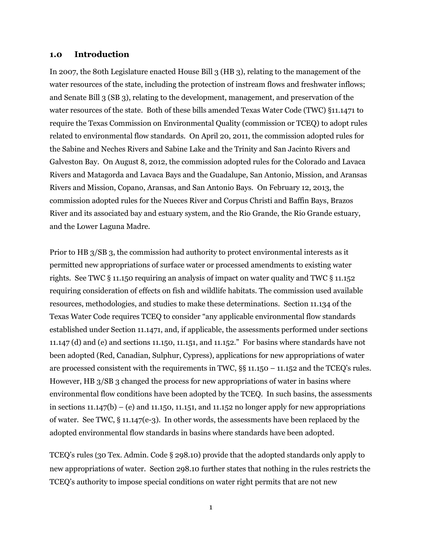#### **1.0 Introduction**

In 2007, the 80th Legislature enacted House Bill 3 (HB 3), relating to the management of the water resources of the state, including the protection of instream flows and freshwater inflows; and Senate Bill 3 (SB 3), relating to the development, management, and preservation of the water resources of the state. Both of these bills amended Texas Water Code (TWC) §11.1471 to require the Texas Commission on Environmental Quality (commission or TCEQ) to adopt rules related to environmental flow standards. On April 20, 2011, the commission adopted rules for the Sabine and Neches Rivers and Sabine Lake and the Trinity and San Jacinto Rivers and Galveston Bay. On August 8, 2012, the commission adopted rules for the Colorado and Lavaca Rivers and Matagorda and Lavaca Bays and the Guadalupe, San Antonio, Mission, and Aransas Rivers and Mission, Copano, Aransas, and San Antonio Bays. On February 12, 2013, the commission adopted rules for the Nueces River and Corpus Christi and Baffin Bays, Brazos River and its associated bay and estuary system, and the Rio Grande, the Rio Grande estuary, and the Lower Laguna Madre.

Prior to HB 3/SB 3, the commission had authority to protect environmental interests as it permitted new appropriations of surface water or processed amendments to existing water rights. See TWC § 11.150 requiring an analysis of impact on water quality and TWC § 11.152 requiring consideration of effects on fish and wildlife habitats. The commission used available resources, methodologies, and studies to make these determinations. Section 11.134 of the Texas Water Code requires TCEQ to consider "any applicable environmental flow standards established under Section 11.1471, and, if applicable, the assessments performed under sections 11.147 (d) and (e) and sections 11.150, 11.151, and 11.152." For basins where standards have not been adopted (Red, Canadian, Sulphur, Cypress), applications for new appropriations of water are processed consistent with the requirements in TWC, §§ 11.150 – 11.152 and the TCEQ's rules. However, HB 3/SB 3 changed the process for new appropriations of water in basins where environmental flow conditions have been adopted by the TCEQ. In such basins, the assessments in sections  $11.147(b) - (e)$  and  $11.150$ ,  $11.151$ , and  $11.152$  no longer apply for new appropriations of water. See TWC, § 11.147(e-3). In other words, the assessments have been replaced by the adopted environmental flow standards in basins where standards have been adopted.

TCEQ's rules (30 Tex. Admin. Code § 298.10) provide that the adopted standards only apply to new appropriations of water. Section 298.10 further states that nothing in the rules restricts the TCEQ's authority to impose special conditions on water right permits that are not new

1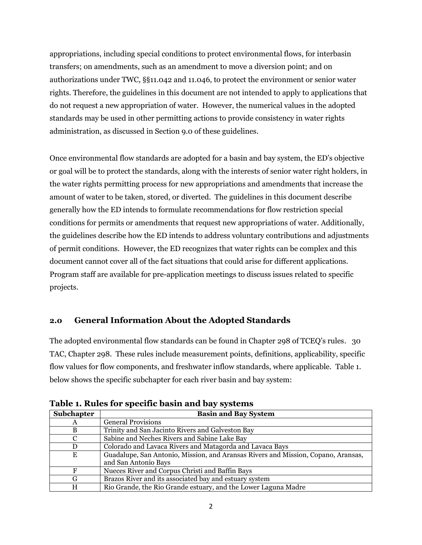appropriations, including special conditions to protect environmental flows, for interbasin transfers; on amendments, such as an amendment to move a diversion point; and on authorizations under TWC, §§11.042 and 11.046, to protect the environment or senior water rights. Therefore, the guidelines in this document are not intended to apply to applications that do not request a new appropriation of water. However, the numerical values in the adopted standards may be used in other permitting actions to provide consistency in water rights administration, as discussed in Section 9.0 of these guidelines.

Once environmental flow standards are adopted for a basin and bay system, the ED's objective or goal will be to protect the standards, along with the interests of senior water right holders, in the water rights permitting process for new appropriations and amendments that increase the amount of water to be taken, stored, or diverted. The guidelines in this document describe generally how the ED intends to formulate recommendations for flow restriction special conditions for permits or amendments that request new appropriations of water. Additionally, the guidelines describe how the ED intends to address voluntary contributions and adjustments of permit conditions. However, the ED recognizes that water rights can be complex and this document cannot cover all of the fact situations that could arise for different applications. Program staff are available for pre-application meetings to discuss issues related to specific projects.

# **2.0 General Information About the Adopted Standards**

The adopted environmental flow standards can be found in Chapter 298 of TCEQ's rules. 30 TAC, Chapter 298. These rules include measurement points, definitions, applicability, specific flow values for flow components, and freshwater inflow standards, where applicable. Table 1. below shows the specific subchapter for each river basin and bay system:

| <b>Subchapter</b> | <b>Basin and Bay System</b>                                                                               |
|-------------------|-----------------------------------------------------------------------------------------------------------|
| A                 | <b>General Provisions</b>                                                                                 |
| B                 | Trinity and San Jacinto Rivers and Galveston Bay                                                          |
|                   | Sabine and Neches Rivers and Sabine Lake Bay                                                              |
| D                 | Colorado and Lavaca Rivers and Matagorda and Lavaca Bays                                                  |
| E                 | Guadalupe, San Antonio, Mission, and Aransas Rivers and Mission, Copano, Aransas,<br>and San Antonio Bays |
| F                 | Nueces River and Corpus Christi and Baffin Bays                                                           |
| G                 | Brazos River and its associated bay and estuary system                                                    |
| H                 | Rio Grande, the Rio Grande estuary, and the Lower Laguna Madre                                            |

**Table 1. Rules for specific basin and bay systems**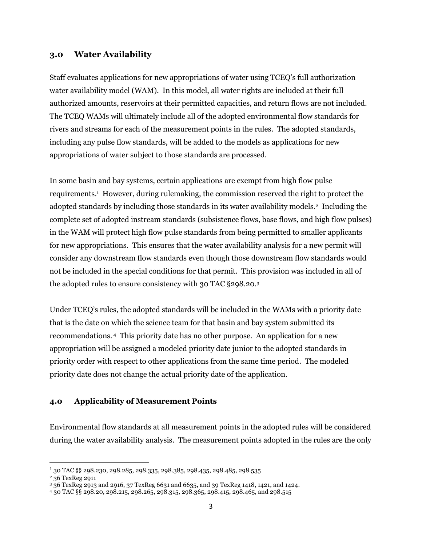#### **3.0 Water Availability**

Staff evaluates applications for new appropriations of water using TCEQ's full authorization water availability model (WAM). In this model, all water rights are included at their full authorized amounts, reservoirs at their permitted capacities, and return flows are not included. The TCEQ WAMs will ultimately include all of the adopted environmental flow standards for rivers and streams for each of the measurement points in the rules. The adopted standards, including any pulse flow standards, will be added to the models as applications for new appropriations of water subject to those standards are processed.

In some basin and bay systems, certain applications are exempt from high flow pulse requirements.<sup>1</sup> However, during rulemaking, the commission reserved the right to protect the adopted standards by including those standards in its water availability models.<sup>2</sup> Including the complete set of adopted instream standards (subsistence flows, base flows, and high flow pulses) in the WAM will protect high flow pulse standards from being permitted to smaller applicants for new appropriations. This ensures that the water availability analysis for a new permit will consider any downstream flow standards even though those downstream flow standards would not be included in the special conditions for that permit. This provision was included in all of the adopted rules to ensure consistency with 30 TAC §298.20.<sup>3</sup>

Under TCEQ's rules, the adopted standards will be included in the WAMs with a priority date that is the date on which the science team for that basin and bay system submitted its recommendations. <sup>4</sup> This priority date has no other purpose. An application for a new appropriation will be assigned a modeled priority date junior to the adopted standards in priority order with respect to other applications from the same time period. The modeled priority date does not change the actual priority date of the application.

#### **4.0 Applicability of Measurement Points**

Environmental flow standards at all measurement points in the adopted rules will be considered during the water availability analysis. The measurement points adopted in the rules are the only

 $\overline{a}$ 

<sup>1</sup> 30 TAC §§ 298.230, 298.285, 298.335, 298.385, 298.435, 298.485, 298.535

<sup>2</sup> 36 TexReg 2911

<sup>3</sup> 36 TexReg 2913 and 2916, 37 TexReg 6631 and 6635, and 39 TexReg 1418, 1421, and 1424.

<sup>4</sup> 30 TAC §§ 298.20, 298.215, 298.265, 298.315, 298.365, 298.415, 298.465, and 298.515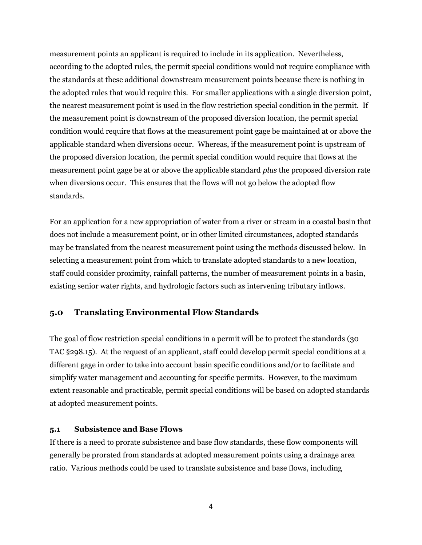measurement points an applicant is required to include in its application. Nevertheless, according to the adopted rules, the permit special conditions would not require compliance with the standards at these additional downstream measurement points because there is nothing in the adopted rules that would require this. For smaller applications with a single diversion point, the nearest measurement point is used in the flow restriction special condition in the permit. If the measurement point is downstream of the proposed diversion location, the permit special condition would require that flows at the measurement point gage be maintained at or above the applicable standard when diversions occur. Whereas, if the measurement point is upstream of the proposed diversion location, the permit special condition would require that flows at the measurement point gage be at or above the applicable standard *plus* the proposed diversion rate when diversions occur. This ensures that the flows will not go below the adopted flow standards.

For an application for a new appropriation of water from a river or stream in a coastal basin that does not include a measurement point, or in other limited circumstances, adopted standards may be translated from the nearest measurement point using the methods discussed below. In selecting a measurement point from which to translate adopted standards to a new location, staff could consider proximity, rainfall patterns, the number of measurement points in a basin, existing senior water rights, and hydrologic factors such as intervening tributary inflows.

### **5.0 Translating Environmental Flow Standards**

The goal of flow restriction special conditions in a permit will be to protect the standards (30 TAC §298.15). At the request of an applicant, staff could develop permit special conditions at a different gage in order to take into account basin specific conditions and/or to facilitate and simplify water management and accounting for specific permits. However, to the maximum extent reasonable and practicable, permit special conditions will be based on adopted standards at adopted measurement points.

#### **5.1 Subsistence and Base Flows**

If there is a need to prorate subsistence and base flow standards, these flow components will generally be prorated from standards at adopted measurement points using a drainage area ratio. Various methods could be used to translate subsistence and base flows, including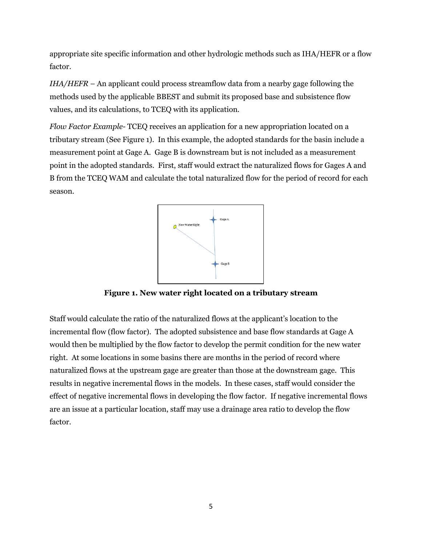appropriate site specific information and other hydrologic methods such as IHA/HEFR or a flow factor.

*IHA/HEFR* – An applicant could process streamflow data from a nearby gage following the methods used by the applicable BBEST and submit its proposed base and subsistence flow values, and its calculations, to TCEQ with its application.

*Flow Factor Example-* TCEQ receives an application for a new appropriation located on a tributary stream (See Figure 1). In this example, the adopted standards for the basin include a measurement point at Gage A. Gage B is downstream but is not included as a measurement point in the adopted standards. First, staff would extract the naturalized flows for Gages A and B from the TCEQ WAM and calculate the total naturalized flow for the period of record for each season.



**Figure 1. New water right located on a tributary stream**

Staff would calculate the ratio of the naturalized flows at the applicant's location to the incremental flow (flow factor). The adopted subsistence and base flow standards at Gage A would then be multiplied by the flow factor to develop the permit condition for the new water right. At some locations in some basins there are months in the period of record where naturalized flows at the upstream gage are greater than those at the downstream gage. This results in negative incremental flows in the models. In these cases, staff would consider the effect of negative incremental flows in developing the flow factor. If negative incremental flows are an issue at a particular location, staff may use a drainage area ratio to develop the flow factor.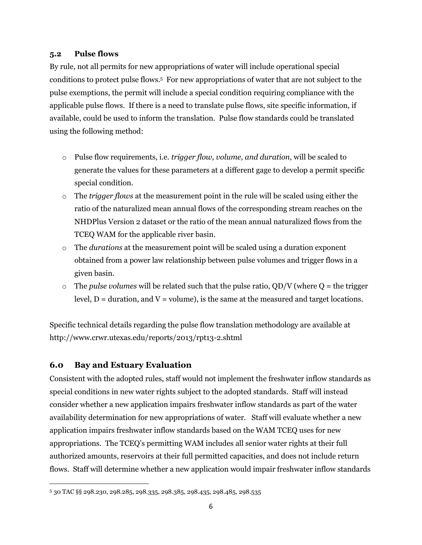#### **5.2 Pulse flows**

By rule, not all permits for new appropriations of water will include operational special conditions to protect pulse flows. 5 For new appropriations of water that are not subject to the pulse exemptions, the permit will include a special condition requiring compliance with the applicable pulse flows. If there is a need to translate pulse flows, site specific information, if available, could be used to inform the translation. Pulse flow standards could be translated using the following method:

- o Pulse flow requirements, i.e. *trigger flow, volume, and duration*, will be scaled to generate the values for these parameters at a different gage to develop a permit specific special condition.
- o The *trigger flows* at the measurement point in the rule will be scaled using either the ratio of the naturalized mean annual flows of the corresponding stream reaches on the NHDPlus Version 2 dataset or the ratio of the mean annual naturalized flows from the TCEQ WAM for the applicable river basin.
- o The *durations* at the measurement point will be scaled using a duration exponent obtained from a power law relationship between pulse volumes and trigger flows in a given basin.
- $\circ$  The *pulse volumes* will be related such that the pulse ratio, QD/V (where Q = the trigger level,  $D =$  duration, and  $V =$  volume), is the same at the measured and target locations.

Specific technical details regarding the pulse flow translation methodology are available at http://www.crwr.utexas.edu/reports/2013/rpt13-2.shtml

# **6.0 Bay and Estuary Evaluation**

 $\overline{\phantom{a}}$ 

Consistent with the adopted rules, staff would not implement the freshwater inflow standards as special conditions in new water rights subject to the adopted standards. Staff will instead consider whether a new application impairs freshwater inflow standards as part of the water availability determination for new appropriations of water. Staff will evaluate whether a new application impairs freshwater inflow standards based on the WAM TCEQ uses for new appropriations. The TCEQ's permitting WAM includes all senior water rights at their full authorized amounts, reservoirs at their full permitted capacities, and does not include return flows. Staff will determine whether a new application would impair freshwater inflow standards

<sup>5</sup> 30 TAC §§ 298.230, 298.285, 298.335, 298.385, 298.435, 298.485, 298.535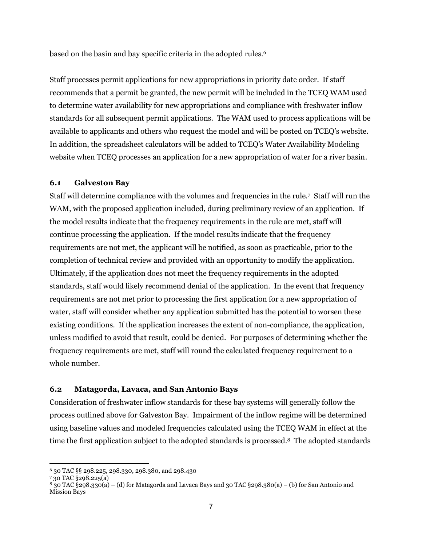based on the basin and bay specific criteria in the adopted rules.<sup>6</sup>

Staff processes permit applications for new appropriations in priority date order. If staff recommends that a permit be granted, the new permit will be included in the TCEQ WAM used to determine water availability for new appropriations and compliance with freshwater inflow standards for all subsequent permit applications. The WAM used to process applications will be available to applicants and others who request the model and will be posted on TCEQ's website. In addition, the spreadsheet calculators will be added to TCEQ's Water Availability Modeling website when TCEQ processes an application for a new appropriation of water for a river basin.

#### **6.1 Galveston Bay**

Staff will determine compliance with the volumes and frequencies in the rule.<sup>7</sup> Staff will run the WAM, with the proposed application included, during preliminary review of an application. If the model results indicate that the frequency requirements in the rule are met, staff will continue processing the application. If the model results indicate that the frequency requirements are not met, the applicant will be notified, as soon as practicable, prior to the completion of technical review and provided with an opportunity to modify the application. Ultimately, if the application does not meet the frequency requirements in the adopted standards, staff would likely recommend denial of the application. In the event that frequency requirements are not met prior to processing the first application for a new appropriation of water, staff will consider whether any application submitted has the potential to worsen these existing conditions. If the application increases the extent of non-compliance, the application, unless modified to avoid that result, could be denied. For purposes of determining whether the frequency requirements are met, staff will round the calculated frequency requirement to a whole number.

#### **6.2 Matagorda, Lavaca, and San Antonio Bays**

Consideration of freshwater inflow standards for these bay systems will generally follow the process outlined above for Galveston Bay. Impairment of the inflow regime will be determined using baseline values and modeled frequencies calculated using the TCEQ WAM in effect at the time the first application subject to the adopted standards is processed.<sup>8</sup> The adopted standards

 $\overline{a}$ <sup>6</sup> 30 TAC §§ 298.225, 298.330, 298.380, and 298.430

<sup>7</sup> 30 TAC §298.225(a)

<sup>8</sup> 30 TAC §298.330(a) – (d) for Matagorda and Lavaca Bays and 30 TAC §298.380(a) – (b) for San Antonio and Mission Bays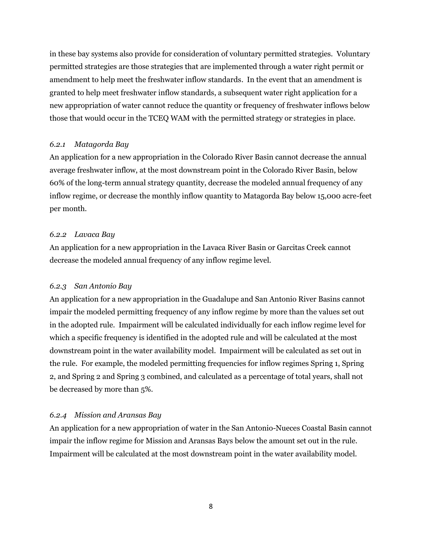in these bay systems also provide for consideration of voluntary permitted strategies. Voluntary permitted strategies are those strategies that are implemented through a water right permit or amendment to help meet the freshwater inflow standards. In the event that an amendment is granted to help meet freshwater inflow standards, a subsequent water right application for a new appropriation of water cannot reduce the quantity or frequency of freshwater inflows below those that would occur in the TCEQ WAM with the permitted strategy or strategies in place.

#### *6.2.1 Matagorda Bay*

An application for a new appropriation in the Colorado River Basin cannot decrease the annual average freshwater inflow, at the most downstream point in the Colorado River Basin, below 60% of the long-term annual strategy quantity, decrease the modeled annual frequency of any inflow regime, or decrease the monthly inflow quantity to Matagorda Bay below 15,000 acre-feet per month.

#### *6.2.2 Lavaca Bay*

An application for a new appropriation in the Lavaca River Basin or Garcitas Creek cannot decrease the modeled annual frequency of any inflow regime level.

#### *6.2.3 San Antonio Bay*

An application for a new appropriation in the Guadalupe and San Antonio River Basins cannot impair the modeled permitting frequency of any inflow regime by more than the values set out in the adopted rule. Impairment will be calculated individually for each inflow regime level for which a specific frequency is identified in the adopted rule and will be calculated at the most downstream point in the water availability model. Impairment will be calculated as set out in the rule. For example, the modeled permitting frequencies for inflow regimes Spring 1, Spring 2, and Spring 2 and Spring 3 combined, and calculated as a percentage of total years, shall not be decreased by more than 5%.

#### *6.2.4 Mission and Aransas Bay*

An application for a new appropriation of water in the San Antonio-Nueces Coastal Basin cannot impair the inflow regime for Mission and Aransas Bays below the amount set out in the rule. Impairment will be calculated at the most downstream point in the water availability model.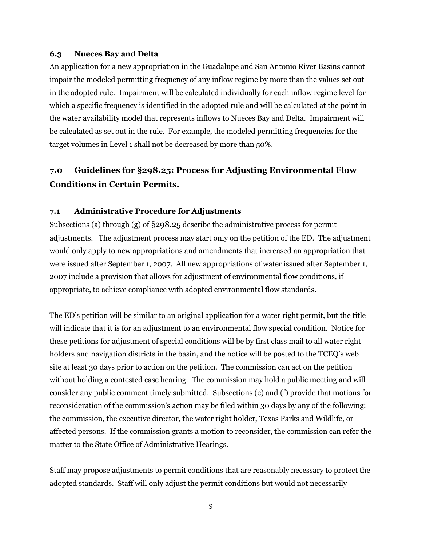#### **6.3 Nueces Bay and Delta**

An application for a new appropriation in the Guadalupe and San Antonio River Basins cannot impair the modeled permitting frequency of any inflow regime by more than the values set out in the adopted rule.Impairment will be calculated individually for each inflow regime level for which a specific frequency is identified in the adopted rule and will be calculated at the point in the water availability model that represents inflows to Nueces Bay and Delta. Impairment will be calculated as set out in the rule. For example, the modeled permitting frequencies for the target volumes in Level 1 shall not be decreased by more than 50%.

# **7.0 Guidelines for §298.25: Process for Adjusting Environmental Flow Conditions in Certain Permits.**

#### **7.1 Administrative Procedure for Adjustments**

Subsections (a) through (g) of §298.25 describe the administrative process for permit adjustments. The adjustment process may start only on the petition of the ED. The adjustment would only apply to new appropriations and amendments that increased an appropriation that were issued after September 1, 2007. All new appropriations of water issued after September 1, 2007 include a provision that allows for adjustment of environmental flow conditions, if appropriate, to achieve compliance with adopted environmental flow standards.

The ED's petition will be similar to an original application for a water right permit, but the title will indicate that it is for an adjustment to an environmental flow special condition. Notice for these petitions for adjustment of special conditions will be by first class mail to all water right holders and navigation districts in the basin, and the notice will be posted to the TCEQ's web site at least 30 days prior to action on the petition. The commission can act on the petition without holding a contested case hearing. The commission may hold a public meeting and will consider any public comment timely submitted. Subsections (e) and (f) provide that motions for reconsideration of the commission's action may be filed within 30 days by any of the following: the commission, the executive director, the water right holder, Texas Parks and Wildlife, or affected persons. If the commission grants a motion to reconsider, the commission can refer the matter to the State Office of Administrative Hearings.

Staff may propose adjustments to permit conditions that are reasonably necessary to protect the adopted standards. Staff will only adjust the permit conditions but would not necessarily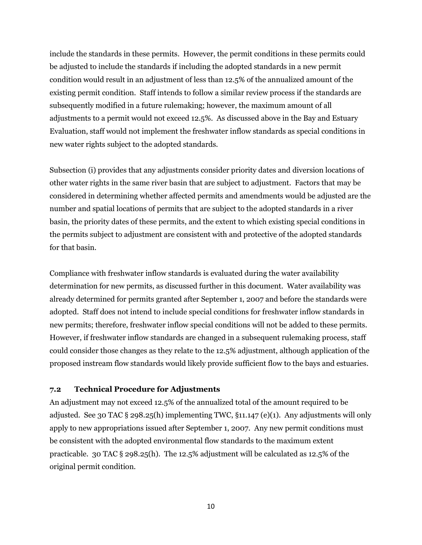include the standards in these permits. However, the permit conditions in these permits could be adjusted to include the standards if including the adopted standards in a new permit condition would result in an adjustment of less than 12.5% of the annualized amount of the existing permit condition. Staff intends to follow a similar review process if the standards are subsequently modified in a future rulemaking; however, the maximum amount of all adjustments to a permit would not exceed 12.5%. As discussed above in the Bay and Estuary Evaluation, staff would not implement the freshwater inflow standards as special conditions in new water rights subject to the adopted standards.

Subsection (i) provides that any adjustments consider priority dates and diversion locations of other water rights in the same river basin that are subject to adjustment. Factors that may be considered in determining whether affected permits and amendments would be adjusted are the number and spatial locations of permits that are subject to the adopted standards in a river basin, the priority dates of these permits, and the extent to which existing special conditions in the permits subject to adjustment are consistent with and protective of the adopted standards for that basin.

Compliance with freshwater inflow standards is evaluated during the water availability determination for new permits, as discussed further in this document. Water availability was already determined for permits granted after September 1, 2007 and before the standards were adopted. Staff does not intend to include special conditions for freshwater inflow standards in new permits; therefore, freshwater inflow special conditions will not be added to these permits. However, if freshwater inflow standards are changed in a subsequent rulemaking process, staff could consider those changes as they relate to the 12.5% adjustment, although application of the proposed instream flow standards would likely provide sufficient flow to the bays and estuaries.

#### **7.2 Technical Procedure for Adjustments**

An adjustment may not exceed 12.5% of the annualized total of the amount required to be adjusted. See 30 TAC § 298.25(h) implementing TWC,  $\S$ 11.147 (e)(1). Any adjustments will only apply to new appropriations issued after September 1, 2007. Any new permit conditions must be consistent with the adopted environmental flow standards to the maximum extent practicable. 30 TAC § 298.25(h). The 12.5% adjustment will be calculated as 12.5% of the original permit condition.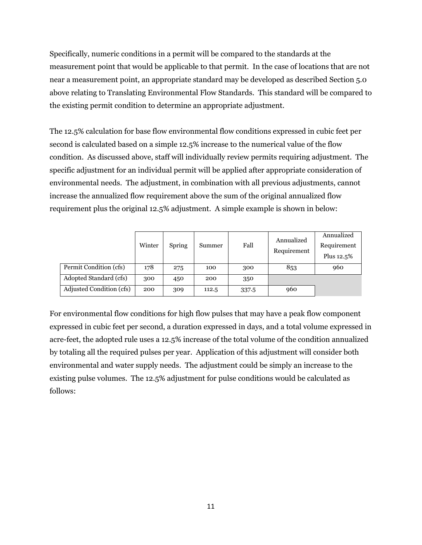Specifically, numeric conditions in a permit will be compared to the standards at the measurement point that would be applicable to that permit. In the case of locations that are not near a measurement point, an appropriate standard may be developed as described Section 5.0 above relating to Translating Environmental Flow Standards. This standard will be compared to the existing permit condition to determine an appropriate adjustment.

The 12.5% calculation for base flow environmental flow conditions expressed in cubic feet per second is calculated based on a simple 12.5% increase to the numerical value of the flow condition. As discussed above, staff will individually review permits requiring adjustment. The specific adjustment for an individual permit will be applied after appropriate consideration of environmental needs. The adjustment, in combination with all previous adjustments, cannot increase the annualized flow requirement above the sum of the original annualized flow requirement plus the original 12.5% adjustment. A simple example is shown in below:

|                          | Winter | Spring | Summer | Fall  | Annualized<br>Requirement | Annualized<br>Requirement<br>Plus 12.5% |
|--------------------------|--------|--------|--------|-------|---------------------------|-----------------------------------------|
| Permit Condition (cfs)   | 178    | 275    | 100    | 300   | 853                       | 960                                     |
| Adopted Standard (cfs)   | 300    | 450    | 200    | 350   |                           |                                         |
| Adjusted Condition (cfs) | 200    | 309    | 112.5  | 337.5 | 960                       |                                         |

For environmental flow conditions for high flow pulses that may have a peak flow component expressed in cubic feet per second, a duration expressed in days, and a total volume expressed in acre-feet, the adopted rule uses a 12.5% increase of the total volume of the condition annualized by totaling all the required pulses per year. Application of this adjustment will consider both environmental and water supply needs. The adjustment could be simply an increase to the existing pulse volumes. The 12.5% adjustment for pulse conditions would be calculated as follows: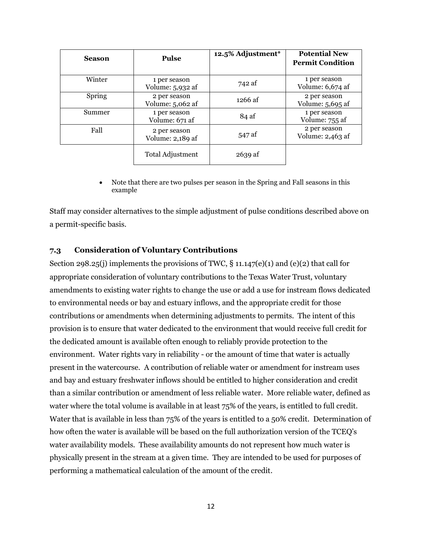| <b>Season</b> | <b>Pulse</b>                     | 12.5% Adjustment* | <b>Potential New</b><br><b>Permit Condition</b> |
|---------------|----------------------------------|-------------------|-------------------------------------------------|
| Winter        | 1 per season<br>Volume: 5,932 af | 742 af            | 1 per season<br>Volume: 6,674 af                |
| Spring        | 2 per season<br>Volume: 5,062 af | 1266 af           | 2 per season<br>Volume: 5,695 af                |
| Summer        | 1 per season<br>Volume: 671 af   | 84 af             | 1 per season<br>Volume: 755 af                  |
| Fall          | 2 per season<br>Volume: 2,189 af | 547 af            | 2 per season<br>Volume: 2,463 af                |
|               | Total Adjustment                 | $2639$ af         |                                                 |

 Note that there are two pulses per season in the Spring and Fall seasons in this example

Staff may consider alternatives to the simple adjustment of pulse conditions described above on a permit-specific basis.

#### **7.3 Consideration of Voluntary Contributions**

Section 298.25(j) implements the provisions of TWC,  $\S$  11.147(e)(1) and (e)(2) that call for appropriate consideration of voluntary contributions to the Texas Water Trust, voluntary amendments to existing water rights to change the use or add a use for instream flows dedicated to environmental needs or bay and estuary inflows, and the appropriate credit for those contributions or amendments when determining adjustments to permits. The intent of this provision is to ensure that water dedicated to the environment that would receive full credit for the dedicated amount is available often enough to reliably provide protection to the environment. Water rights vary in reliability - or the amount of time that water is actually present in the watercourse. A contribution of reliable water or amendment for instream uses and bay and estuary freshwater inflows should be entitled to higher consideration and credit than a similar contribution or amendment of less reliable water. More reliable water, defined as water where the total volume is available in at least 75% of the years, is entitled to full credit. Water that is available in less than 75% of the years is entitled to a 50% credit. Determination of how often the water is available will be based on the full authorization version of the TCEQ's water availability models. These availability amounts do not represent how much water is physically present in the stream at a given time. They are intended to be used for purposes of performing a mathematical calculation of the amount of the credit.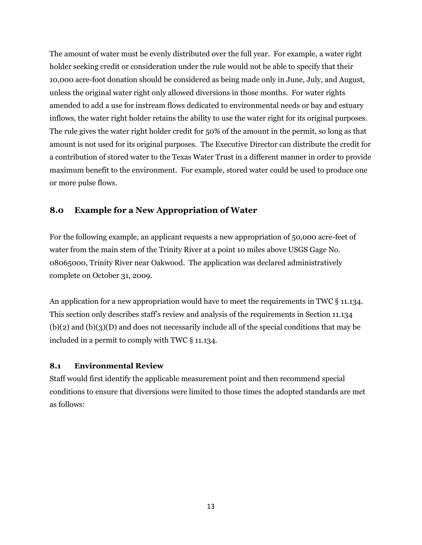The amount of water must be evenly distributed over the full year. For example, a water right holder seeking credit or consideration under the rule would not be able to specify that their 10,000 acre-foot donation should be considered as being made only in June, July, and August, unless the original water right only allowed diversions in those months. For water rights amended to add a use for instream flows dedicated to environmental needs or bay and estuary inflows, the water right holder retains the ability to use the water right for its original purposes. The rule gives the water right holder credit for 50% of the amount in the permit, so long as that amount is not used for its original purposes. The Executive Director can distribute the credit for a contribution of stored water to the Texas Water Trust in a different manner in order to provide maximum benefit to the environment. For example, stored water could be used to produce one or more pulse flows.

# **8.0 Example for a New Appropriation of Water**

For the following example, an applicant requests a new appropriation of 50,000 acre-feet of water from the main stem of the Trinity River at a point 10 miles above USGS Gage No. 08065000, Trinity River near Oakwood. The application was declared administratively complete on October 31, 2009.

An application for a new appropriation would have to meet the requirements in TWC § 11.134. This section only describes staff's review and analysis of the requirements in Section 11.134  $(b)(2)$  and  $(b)(3)(D)$  and does not necessarily include all of the special conditions that may be included in a permit to comply with TWC § 11.134.

#### **8.1 Environmental Review**

Staff would first identify the applicable measurement point and then recommend special conditions to ensure that diversions were limited to those times the adopted standards are met as follows: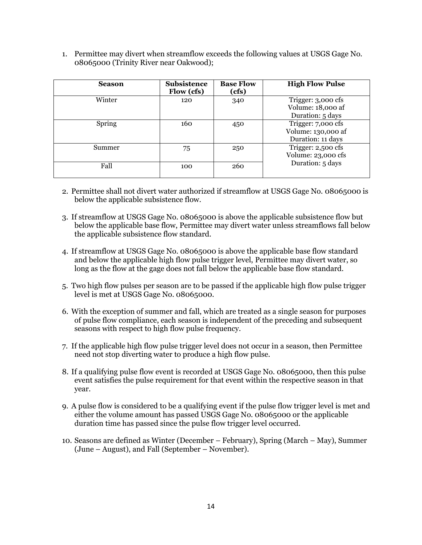1. Permittee may divert when streamflow exceeds the following values at USGS Gage No. 08065000 (Trinity River near Oakwood);

| <b>Season</b> | <b>Subsistence</b><br>Flow (cfs) | <b>Base Flow</b><br>(cfs) | <b>High Flow Pulse</b>                                        |  |
|---------------|----------------------------------|---------------------------|---------------------------------------------------------------|--|
| Winter        | 120                              | 340                       | Trigger: 3,000 cfs<br>Volume: 18,000 af<br>Duration: 5 days   |  |
| Spring        | 160                              | 450                       | Trigger: 7,000 cfs<br>Volume: 130,000 af<br>Duration: 11 days |  |
| Summer        | 75                               | 250                       | Trigger: 2,500 cfs<br>Volume: 23,000 cfs<br>Duration: 5 days  |  |
| Fall          | 100                              | 260                       |                                                               |  |

- 2. Permittee shall not divert water authorized if streamflow at USGS Gage No. 08065000 is below the applicable subsistence flow.
- 3. If streamflow at USGS Gage No. 08065000 is above the applicable subsistence flow but below the applicable base flow, Permittee may divert water unless streamflows fall below the applicable subsistence flow standard.
- 4. If streamflow at USGS Gage No. 08065000 is above the applicable base flow standard and below the applicable high flow pulse trigger level, Permittee may divert water, so long as the flow at the gage does not fall below the applicable base flow standard.
- 5. Two high flow pulses per season are to be passed if the applicable high flow pulse trigger level is met at USGS Gage No. 08065000.
- 6. With the exception of summer and fall, which are treated as a single season for purposes of pulse flow compliance, each season is independent of the preceding and subsequent seasons with respect to high flow pulse frequency.
- 7. If the applicable high flow pulse trigger level does not occur in a season, then Permittee need not stop diverting water to produce a high flow pulse.
- 8. If a qualifying pulse flow event is recorded at USGS Gage No. 08065000, then this pulse event satisfies the pulse requirement for that event within the respective season in that year.
- 9. A pulse flow is considered to be a qualifying event if the pulse flow trigger level is met and either the volume amount has passed USGS Gage No. 08065000 or the applicable duration time has passed since the pulse flow trigger level occurred.
- 10. Seasons are defined as Winter (December February), Spring (March May), Summer (June – August), and Fall (September – November).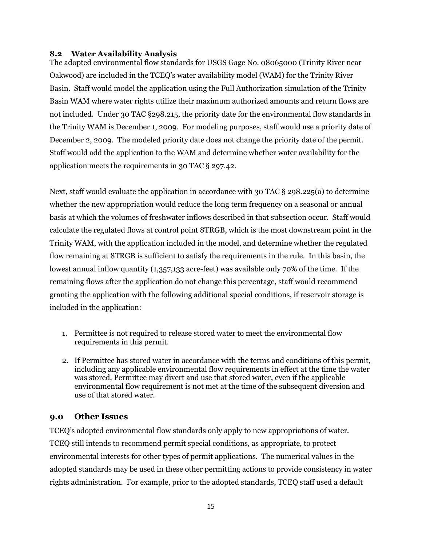#### **8.2 Water Availability Analysis**

The adopted environmental flow standards for USGS Gage No. 08065000 (Trinity River near Oakwood) are included in the TCEQ's water availability model (WAM) for the Trinity River Basin. Staff would model the application using the Full Authorization simulation of the Trinity Basin WAM where water rights utilize their maximum authorized amounts and return flows are not included. Under 30 TAC §298.215, the priority date for the environmental flow standards in the Trinity WAM is December 1, 2009. For modeling purposes, staff would use a priority date of December 2, 2009. The modeled priority date does not change the priority date of the permit. Staff would add the application to the WAM and determine whether water availability for the application meets the requirements in 30 TAC § 297.42.

Next, staff would evaluate the application in accordance with 30 TAC § 298.225(a) to determine whether the new appropriation would reduce the long term frequency on a seasonal or annual basis at which the volumes of freshwater inflows described in that subsection occur. Staff would calculate the regulated flows at control point 8TRGB, which is the most downstream point in the Trinity WAM, with the application included in the model, and determine whether the regulated flow remaining at 8TRGB is sufficient to satisfy the requirements in the rule. In this basin, the lowest annual inflow quantity (1,357,133 acre-feet) was available only 70% of the time. If the remaining flows after the application do not change this percentage, staff would recommend granting the application with the following additional special conditions, if reservoir storage is included in the application:

- 1. Permittee is not required to release stored water to meet the environmental flow requirements in this permit.
- 2. If Permittee has stored water in accordance with the terms and conditions of this permit, including any applicable environmental flow requirements in effect at the time the water was stored, Permittee may divert and use that stored water, even if the applicable environmental flow requirement is not met at the time of the subsequent diversion and use of that stored water.

## **9.0 Other Issues**

TCEQ's adopted environmental flow standards only apply to new appropriations of water. TCEQ still intends to recommend permit special conditions, as appropriate, to protect environmental interests for other types of permit applications. The numerical values in the adopted standards may be used in these other permitting actions to provide consistency in water rights administration. For example, prior to the adopted standards, TCEQ staff used a default